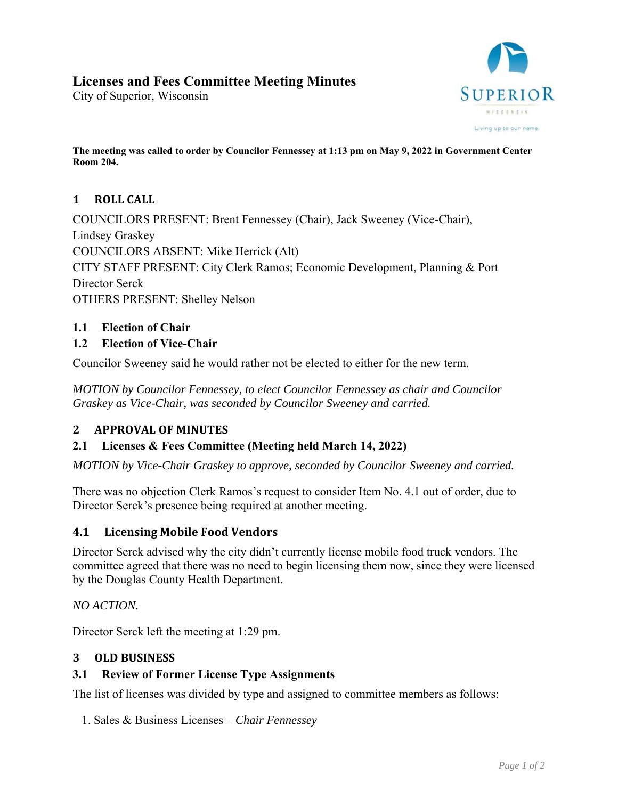# **Licenses and Fees Committee Meeting Minutes**

City of Superior, Wisconsin



**The meeting was called to order by Councilor Fennessey at 1:13 pm on May 9, 2022 in Government Center Room 204.** 

# 1 **ROLL** CALL

COUNCILORS PRESENT: Brent Fennessey (Chair), Jack Sweeney (Vice-Chair), Lindsey Graskey COUNCILORS ABSENT: Mike Herrick (Alt) CITY STAFF PRESENT: City Clerk Ramos; Economic Development, Planning & Port Director Serck OTHERS PRESENT: Shelley Nelson

# **1.1 Election of Chair**

# **1.2 Election of Vice-Chair**

Councilor Sweeney said he would rather not be elected to either for the new term.

*MOTION by Councilor Fennessey, to elect Councilor Fennessey as chair and Councilor Graskey as Vice-Chair, was seconded by Councilor Sweeney and carried.* 

# **2 APPROVAL OF MINUTES**

#### **2.1 Licenses & Fees Committee (Meeting held March 14, 2022)**

*MOTION by Vice-Chair Graskey to approve, seconded by Councilor Sweeney and carried.* 

There was no objection Clerk Ramos's request to consider Item No. 4.1 out of order, due to Director Serck's presence being required at another meeting.

#### **4.1 Licensing Mobile Food Vendors**

Director Serck advised why the city didn't currently license mobile food truck vendors. The committee agreed that there was no need to begin licensing them now, since they were licensed by the Douglas County Health Department.

*NO ACTION.* 

Director Serck left the meeting at 1:29 pm.

#### **3 OLD BUSINESS**

#### **3.1 Review of Former License Type Assignments**

The list of licenses was divided by type and assigned to committee members as follows:

1. Sales & Business Licenses – *Chair Fennessey*